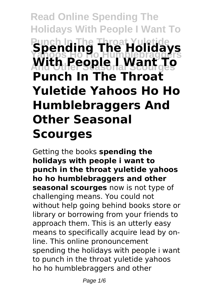# **Read Online Spending The Holidays With People I Want To Spending The Holidays Yahoos Ho Ho Humblebraggers And Other Seasonal Scourges With People I Want To Punch In The Throat Yuletide Yahoos Ho Ho Humblebraggers And Other Seasonal Scourges**

Getting the books **spending the holidays with people i want to punch in the throat yuletide yahoos ho ho humblebraggers and other seasonal scourges** now is not type of challenging means. You could not without help going behind books store or library or borrowing from your friends to approach them. This is an utterly easy means to specifically acquire lead by online. This online pronouncement spending the holidays with people i want to punch in the throat yuletide yahoos ho ho humblebraggers and other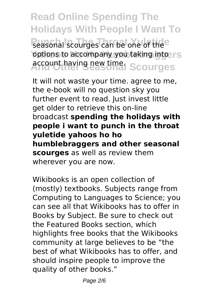**Read Online Spending The Holidays With People I Want To** seasonal scourges can be one of the<sup>e</sup> **Yoptions to accompany you taking into rs Account having new time. Scourges** 

It will not waste your time. agree to me, the e-book will no question sky you further event to read. Just invest little get older to retrieve this on-line broadcast **spending the holidays with people i want to punch in the throat yuletide yahoos ho ho humblebraggers and other seasonal scourges** as well as review them wherever you are now.

Wikibooks is an open collection of (mostly) textbooks. Subjects range from Computing to Languages to Science; you can see all that Wikibooks has to offer in Books by Subject. Be sure to check out the Featured Books section, which highlights free books that the Wikibooks community at large believes to be "the best of what Wikibooks has to offer, and should inspire people to improve the quality of other books."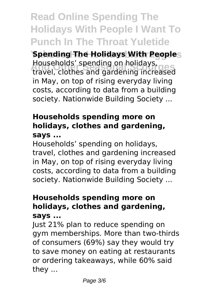## **Read Online Spending The Holidays With People I Want To Punch In The Throat Yuletide**

**Spending The Holidays With Peoples And Other Seasonal Scourges** travel, clothes and gardening increased Households' spending on holidays, in May, on top of rising everyday living costs, according to data from a building society. Nationwide Building Society ...

### **Households spending more on holidays, clothes and gardening, says ...**

Households' spending on holidays, travel, clothes and gardening increased in May, on top of rising everyday living costs, according to data from a building society. Nationwide Building Society ...

### **Households spending more on holidays, clothes and gardening, says ...**

Just 21% plan to reduce spending on gym memberships. More than two-thirds of consumers (69%) say they would try to save money on eating at restaurants or ordering takeaways, while 60% said they ...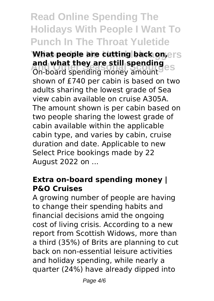## **Read Online Spending The Holidays With People I Want To Punch In The Throat Yuletide**

**What people are cutting back on, ers And what they are still spending**<br>Co-board spending money amount On-board spending money amount shown of £740 per cabin is based on two adults sharing the lowest grade of Sea view cabin available on cruise A305A. The amount shown is per cabin based on two people sharing the lowest grade of cabin available within the applicable cabin type, and varies by cabin, cruise duration and date. Applicable to new Select Price bookings made by 22 August 2022 on ...

#### **Extra on-board spending money | P&O Cruises**

A growing number of people are having to change their spending habits and financial decisions amid the ongoing cost of living crisis. According to a new report from Scottish Widows, more than a third (35%) of Brits are planning to cut back on non-essential leisure activities and holiday spending, while nearly a quarter (24%) have already dipped into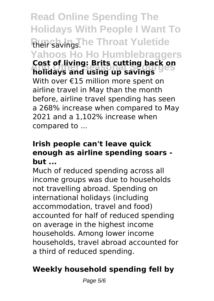**Read Online Spending The Holidays With People I Want To** their savings. he Throat Yuletide **Yahoos Ho Ho Humblebraggers And Other Seasonal Scourges holidays and using up savings Cost of living: Brits cutting back on** With over €15 million more spent on airline travel in May than the month before, airline travel spending has seen a 268% increase when compared to May 2021 and a 1,102% increase when compared to ...

### **Irish people can't leave quick enough as airline spending soars but ...**

Much of reduced spending across all income groups was due to households not travelling abroad. Spending on international holidays (including accommodation, travel and food) accounted for half of reduced spending on average in the highest income households. Among lower income households, travel abroad accounted for a third of reduced spending.

### **Weekly household spending fell by**

Page 5/6